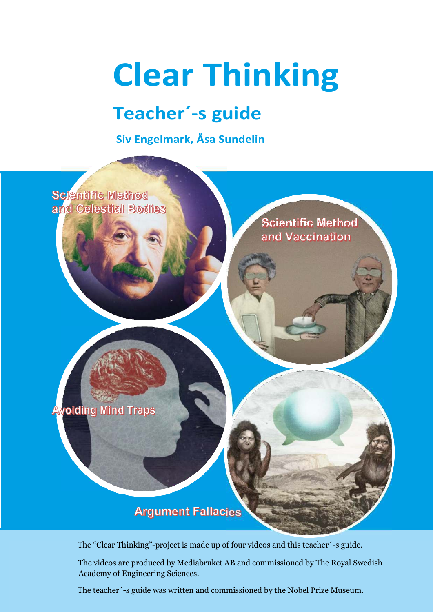# **Clear Thinking**

# **Teacher´-s guide**

**Siv Engelmark, Åsa Sundelin**



The "Clear Thinking"-project is made up of four videos and this teacher´-s guide.

The videos are produced by Mediabruket AB and commissioned by The Royal Swedish Academy of Engineering Sciences.

The teacher´-s guide was written and commissioned by the Nobel Prize Museum.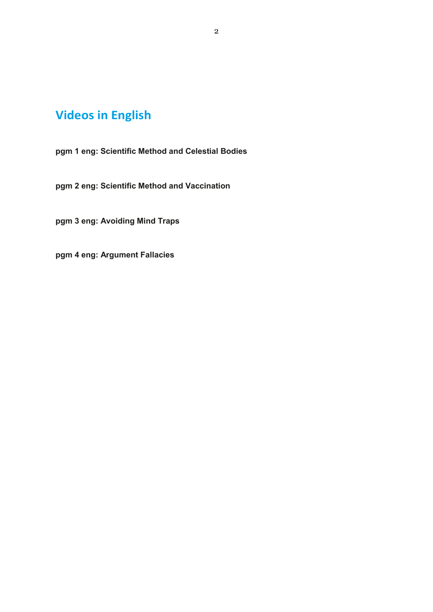# **Videos in English**

**pgm 1 eng: Scientific Method and Celestial Bodies**

**pgm 2 eng: Scientific Method and Vaccination**

**pgm 3 eng: Avoiding Mind Traps**

**pgm 4 eng: Argument Fallacies**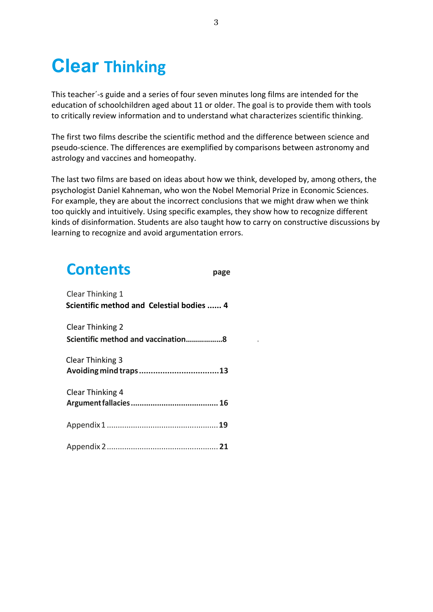# **Clear Thinking**

This teacher´-s guide and a series of four seven minutes long films are intended for the education of schoolchildren aged about 11 or older. The goal is to provide them with tools to critically review information and to understand what characterizes scientific thinking.

The first two films describe the scientific method and the difference between science and pseudo-science. The differences are exemplified by comparisons between astronomy and astrology and vaccines and homeopathy.

The last two films are based on ideas about how we think, developed by, among others, the psychologist Daniel Kahneman, who won the Nobel Memorial Prize in Economic Sciences. For example, they are about the incorrect conclusions that we might draw when we think too quickly and intuitively. Using specific examples, they show how to recognize different kinds of disinformation. Students are also taught how to carry on constructive discussions by learning to recognize and avoid argumentation errors.

| <b>Contents</b>                                               | page |
|---------------------------------------------------------------|------|
| Clear Thinking 1<br>Scientific method and Celestial bodies  4 |      |
| <b>Clear Thinking 2</b><br>Scientific method and vaccination8 |      |
| Clear Thinking 3                                              |      |
| Clear Thinking 4                                              |      |
|                                                               |      |
|                                                               |      |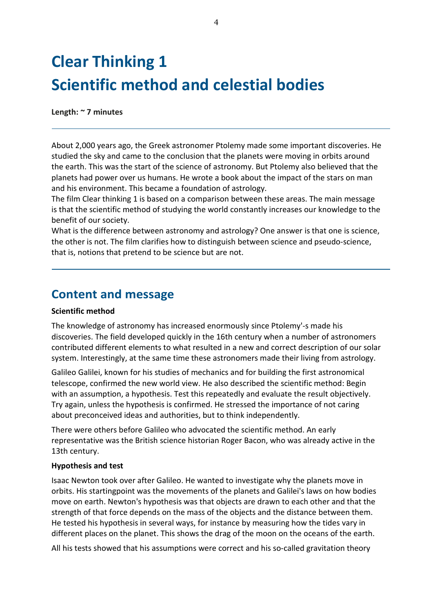# **Clear Thinking 1 Scientific method and celestial bodies**

**Length: ~ 7 minutes**

About 2,000 years ago, the Greek astronomer Ptolemy made some important discoveries. He studied the sky and came to the conclusion that the planets were moving in orbits around the earth. This was the start of the science of astronomy. But Ptolemy also believed that the planets had power over us humans. He wrote a book about the impact of the stars on man and his environment. This became a foundation of astrology.

The film Clear thinking 1 is based on a comparison between these areas. The main message is that the scientific method of studying the world constantly increases our knowledge to the benefit of our society.

What is the difference between astronomy and astrology? One answer is that one is science, the other is not. The film clarifies how to distinguish between science and pseudo-science, that is, notions that pretend to be science but are not.

### **Content and message**

#### **Scientific method**

The knowledge of astronomy has increased enormously since Ptolemy'-s made his discoveries. The field developed quickly in the 16th century when a number of astronomers contributed different elements to what resulted in a new and correct description of our solar system. Interestingly, at the same time these astronomers made their living from astrology.

Galileo Galilei, known for his studies of mechanics and for building the first astronomical telescope, confirmed the new world view. He also described the scientific method: Begin with an assumption, a hypothesis. Test this repeatedly and evaluate the result objectively. Try again, unless the hypothesis is confirmed. He stressed the importance of not caring about preconceived ideas and authorities, but to think independently.

There were others before Galileo who advocated the scientific method. An early representative was the British science historian Roger Bacon, who was already active in the 13th century.

#### **Hypothesis and test**

Isaac Newton took over after Galileo. He wanted to investigate why the planets move in orbits. His startingpoint was the movements of the planets and Galilei's laws on how bodies move on earth. Newton's hypothesis was that objects are drawn to each other and that the strength of that force depends on the mass of the objects and the distance between them. He tested his hypothesis in several ways, for instance by measuring how the tides vary in different places on the planet. This shows the drag of the moon on the oceans of the earth.

All his tests showed that his assumptions were correct and his so-called gravitation theory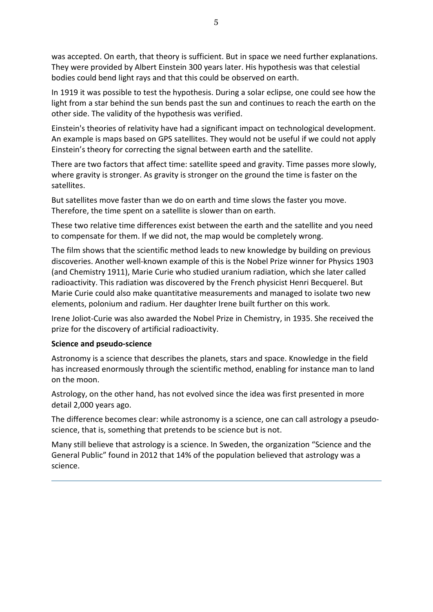was accepted. On earth, that theory is sufficient. But in space we need further explanations. They were provided by Albert Einstein 300 years later. His hypothesis was that celestial bodies could bend light rays and that this could be observed on earth.

In 1919 it was possible to test the hypothesis. During a solar eclipse, one could see how the light from a star behind the sun bends past the sun and continues to reach the earth on the other side. The validity of the hypothesis was verified.

Einstein's theories of relativity have had a significant impact on technological development. An example is maps based on GPS satellites. They would not be useful if we could not apply Einstein's theory for correcting the signal between earth and the satellite.

There are two factors that affect time: satellite speed and gravity. Time passes more slowly, where gravity is stronger. As gravity is stronger on the ground the time is faster on the satellites.

But satellites move faster than we do on earth and time slows the faster you move. Therefore, the time spent on a satellite is slower than on earth.

These two relative time differences exist between the earth and the satellite and you need to compensate for them. If we did not, the map would be completely wrong.

The film shows that the scientific method leads to new knowledge by building on previous discoveries. Another well-known example of this is the Nobel Prize winner for Physics 1903 (and Chemistry 1911), Marie Curie who studied uranium radiation, which she later called radioactivity. This radiation was discovered by the French physicist Henri Becquerel. But Marie Curie could also make quantitative measurements and managed to isolate two new elements, polonium and radium. Her daughter Irene built further on this work.

Irene Joliot-Curie was also awarded the Nobel Prize in Chemistry, in 1935. She received the prize for the discovery of artificial radioactivity.

#### **Science and pseudo-science**

Astronomy is a science that describes the planets, stars and space. Knowledge in the field has increased enormously through the scientific method, enabling for instance man to land on the moon.

Astrology, on the other hand, has not evolved since the idea was first presented in more detail 2,000 years ago.

The difference becomes clear: while astronomy is a science, one can call astrology a pseudoscience, that is, something that pretends to be science but is not.

Many still believe that astrology is a science. In Sweden, the organization "Science and the General Public" found in 2012 that 14% of the population believed that astrology was a science.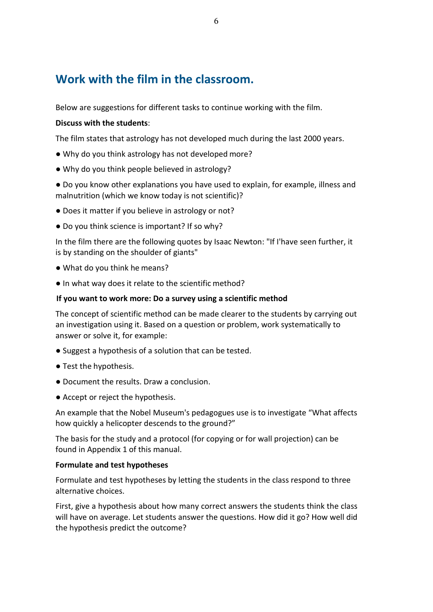### **Work with the film in the classroom.**

Below are suggestions for different tasks to continue working with the film.

#### **Discuss with the students**:

The film states that astrology has not developed much during the last 2000 years.

- Why do you think astrology has not developed more?
- Why do you think people believed in astrology?

● Do you know other explanations you have used to explain, for example, illness and malnutrition (which we know today is not scientific)?

- Does it matter if you believe in astrology or not?
- Do you think science is important? If so why?

In the film there are the following quotes by Isaac Newton: "If I'have seen further, it is by standing on the shoulder of giants"

- What do you think he means?
- In what way does it relate to the scientific method?

#### **If you want to work more: Do a survey using a scientific method**

The concept of scientific method can be made clearer to the students by carrying out an investigation using it. Based on a question or problem, work systematically to answer or solve it, for example:

- Suggest a hypothesis of a solution that can be tested.
- Test the hypothesis.
- Document the results. Draw a conclusion.
- Accept or reject the hypothesis.

An example that the Nobel Museum's pedagogues use is to investigate "What affects how quickly a helicopter descends to the ground?"

The basis for the study and a protocol (for copying or for wall projection) can be found in Appendix 1 of this manual.

#### **Formulate and test hypotheses**

Formulate and test hypotheses by letting the students in the class respond to three alternative choices.

First, give a hypothesis about how many correct answers the students think the class will have on average. Let students answer the questions. How did it go? How well did the hypothesis predict the outcome?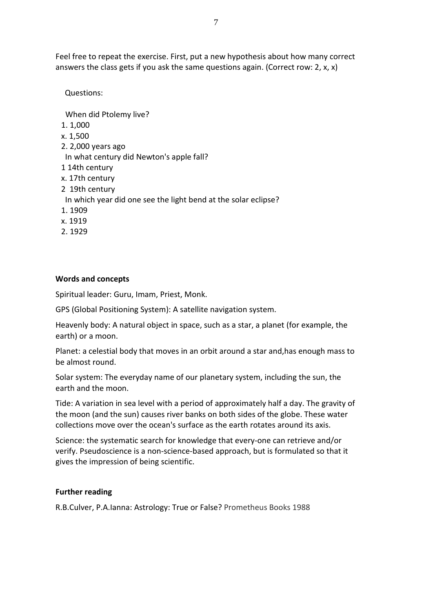Feel free to repeat the exercise. First, put a new hypothesis about how many correct answers the class gets if you ask the same questions again. (Correct row: 2, x, x)

Questions:

When did Ptolemy live? 1. 1,000 x. 1,500 2. 2,000 years ago In what century did Newton's apple fall? 1 14th century x. 17th century 2 19th century In which year did one see the light bend at the solar eclipse? 1. 1909 x. 1919 2. 1929

#### **Words and concepts**

Spiritual leader: Guru, Imam, Priest, Monk.

GPS (Global Positioning System): A satellite navigation system.

Heavenly body: A natural object in space, such as a star, a planet (for example, the earth) or a moon.

Planet: a celestial body that moves in an orbit around a star and,has enough mass to be almost round.

Solar system: The everyday name of our planetary system, including the sun, the earth and the moon.

Tide: A variation in sea level with a period of approximately half a day. The gravity of the moon (and the sun) causes river banks on both sides of the globe. These water collections move over the ocean's surface as the earth rotates around its axis.

Science: the systematic search for knowledge that every-one can retrieve and/or verify. Pseudoscience is a non-science-based approach, but is formulated so that it gives the impression of being scientific.

#### **Further reading**

R.B.Culver, P.A.Ianna: Astrology: True or False? Prometheus Books 1988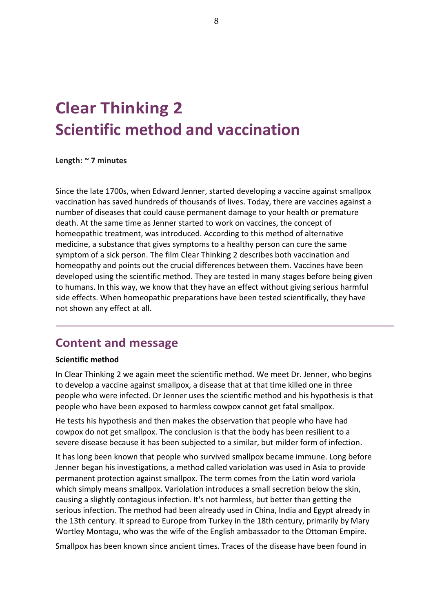# **Clear Thinking 2 Scientific method and vaccination**

**Length: ~ 7 minutes**

Since the late 1700s, when Edward Jenner, started developing a vaccine against smallpox vaccination has saved hundreds of thousands of lives. Today, there are vaccines against a number of diseases that could cause permanent damage to your health or premature death. At the same time as Jenner started to work on vaccines, the concept of homeopathic treatment, was introduced. According to this method of alternative medicine, a substance that gives symptoms to a healthy person can cure the same symptom of a sick person. The film Clear Thinking 2 describes both vaccination and homeopathy and points out the crucial differences between them. Vaccines have been developed using the scientific method. They are tested in many stages before being given to humans. In this way, we know that they have an effect without giving serious harmful side effects. When homeopathic preparations have been tested scientifically, they have not shown any effect at all.

### **Content and message**

#### **Scientific method**

In Clear Thinking 2 we again meet the scientific method. We meet Dr. Jenner, who begins to develop a vaccine against smallpox, a disease that at that time killed one in three people who were infected. Dr Jenner uses the scientific method and his hypothesis is that people who have been exposed to harmless cowpox cannot get fatal smallpox.

He tests his hypothesis and then makes the observation that people who have had cowpox do not get smallpox. The conclusion is that the body has been resilient to a severe disease because it has been subjected to a similar, but milder form of infection.

It has long been known that people who survived smallpox became immune. Long before Jenner began his investigations, a method called variolation was used in Asia to provide permanent protection against smallpox. The term comes from the Latin word variola which simply means smallpox. Variolation introduces a small secretion below the skin, causing a slightly contagious infection. It's not harmless, but better than getting the serious infection. The method had been already used in China, India and Egypt already in the 13th century. It spread to Europe from Turkey in the 18th century, primarily by Mary Wortley Montagu, who was the wife of the English ambassador to the Ottoman Empire.

Smallpox has been known since ancient times. Traces of the disease have been found in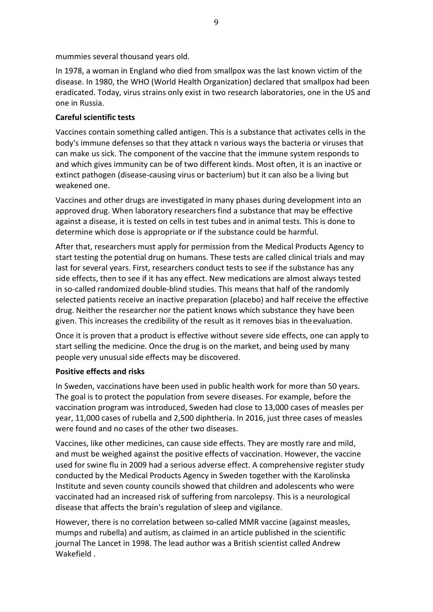mummies several thousand years old.

In 1978, a woman in England who died from smallpox was the last known victim of the disease. In 1980, the WHO (World Health Organization) declared that smallpox had been eradicated. Today, virus strains only exist in two research laboratories, one in the US and one in Russia.

#### **Careful scientific tests**

Vaccines contain something called antigen. This is a substance that activates cells in the body's immune defenses so that they attack n various ways the bacteria or viruses that can make us sick. The component of the vaccine that the immune system responds to and which gives immunity can be of two different kinds. Most often, it is an inactive or extinct pathogen (disease-causing virus or bacterium) but it can also be a living but weakened one.

Vaccines and other drugs are investigated in many phases during development into an approved drug. When laboratory researchers find a substance that may be effective against a disease, it is tested on cells in test tubes and in animal tests. This is done to determine which dose is appropriate or if the substance could be harmful.

After that, researchers must apply for permission from the Medical Products Agency to start testing the potential drug on humans. These tests are called clinical trials and may last for several years. First, researchers conduct tests to see if the substance has any side effects, then to see if it has any effect. New medications are almost always tested in so-called randomized double-blind studies. This means that half of the randomly selected patients receive an inactive preparation (placebo) and half receive the effective drug. Neither the researcher nor the patient knows which substance they have been given. This increases the credibility of the result as it removes bias in the evaluation.

Once it is proven that a product is effective without severe side effects, one can apply to start selling the medicine. Once the drug is on the market, and being used by many people very unusual side effects may be discovered.

#### **Positive effects and risks**

In Sweden, vaccinations have been used in public health work for more than 50 years. The goal is to protect the population from severe diseases. For example, before the vaccination program was introduced, Sweden had close to 13,000 cases of measles per year, 11,000 cases of rubella and 2,500 diphtheria. In 2016, just three cases of measles were found and no cases of the other two diseases.

Vaccines, like other medicines, can cause side effects. They are mostly rare and mild, and must be weighed against the positive effects of vaccination. However, the vaccine used for swine flu in 2009 had a serious adverse effect. A comprehensive register study conducted by the Medical Products Agency in Sweden together with the Karolinska Institute and seven county councils showed that children and adolescents who were vaccinated had an increased risk of suffering from narcolepsy. This is a neurological disease that affects the brain's regulation of sleep and vigilance.

However, there is no correlation between so-called MMR vaccine (against measles, mumps and rubella) and autism, as claimed in an article published in the scientific journal The Lancet in 1998. The lead author was a British scientist called Andrew Wakefield .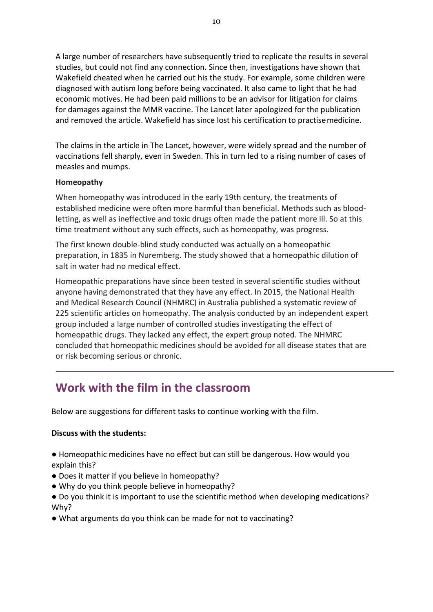A large number of researchers have subsequently tried to replicate the results in several studies, but could not find any connection. Since then, investigations have shown that Wakefield cheated when he carried out his the study. For example, some children were diagnosed with autism long before being vaccinated. It also came to light that he had economic motives. He had been paid millions to be an advisor for litigation for claims for damages against the MMR vaccine. The Lancet later apologized for the publication and removed the article. Wakefield has since lost his certification to practise medicine.

The claims in the article in The Lancet, however, were widely spread and the number of vaccinations fell sharply, even in Sweden. This in turn led to a rising number of cases of measles and mumps.

#### **Homeopathy**

When homeopathy was introduced in the early 19th century, the treatments of established medicine were often more harmful than beneficial. Methods such as bloodletting, as well as ineffective and toxic drugs often made the patient more ill. So at this time treatment without any such effects, such as homeopathy, was progress.

The first known double-blind study conducted was actually on a homeopathic preparation, in 1835 in Nuremberg. The study showed that a homeopathic dilution of salt in water had no medical effect.

Homeopathic preparations have since been tested in several scientific studies without anyone having demonstrated that they have any effect. In 2015, the National Health and Medical Research Council (NHMRC) in Australia published a systematic review of 225 scientific articles on homeopathy. The analysis conducted by an independent expert group included a large number of controlled studies investigating the effect of homeopathic drugs. They lacked any effect, the expert group noted. The NHMRC concluded that homeopathic medicines should be avoided for all disease states that are or risk becoming serious or chronic.

# **Work with the film in the classroom**

Below are suggestions for different tasks to continue working with the film.

#### **Discuss with the students:**

● Homeopathic medicines have no effect but can still be dangerous. How would you explain this?

- Does it matter if you believe in homeopathy?
- Why do you think people believe in homeopathy?
- Do you think it is important to use the scientific method when developing medications? Why?
- What arguments do you think can be made for not to vaccinating?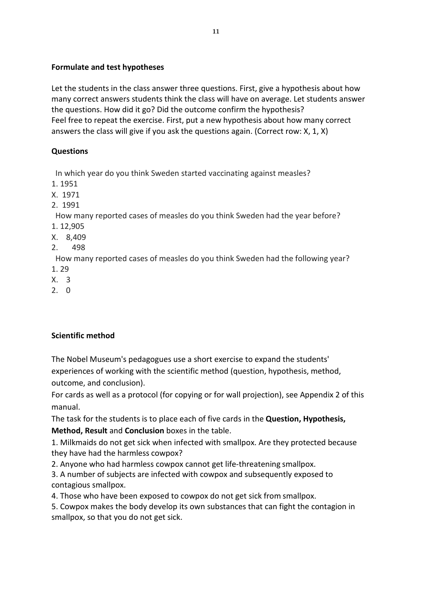#### **Formulate and test hypotheses**

Let the students in the class answer three questions. First, give a hypothesis about how many correct answers students think the class will have on average. Let students answer the questions. How did it go? Did the outcome confirm the hypothesis? Feel free to repeat the exercise. First, put a new hypothesis about how many correct answers the class will give if you ask the questions again. (Correct row: X, 1, X)

#### **Questions**

In which year do you think Sweden started vaccinating against measles?

1. 1951

X. 1971

2. 1991

How many reported cases of measles do you think Sweden had the year before?

- 1. 12,905
- X. 8,409
- 2. 498

How many reported cases of measles do you think Sweden had the following year?

- 1. 29
- X. 3
- 2. 0

#### **Scientific method**

The Nobel Museum's pedagogues use a short exercise to expand the students' experiences of working with the scientific method (question, hypothesis, method, outcome, and conclusion).

For cards as well as a protocol (for copying or for wall projection), see Appendix 2 of this manual.

The task for the students is to place each of five cards in the **Question, Hypothesis, Method, Result** and **Conclusion** boxes in the table.

1. Milkmaids do not get sick when infected with smallpox. Are they protected because they have had the harmless cowpox?

2. Anyone who had harmless cowpox cannot get life-threatening smallpox.

3. A number of subjects are infected with cowpox and subsequently exposed to contagious smallpox.

4. Those who have been exposed to cowpox do not get sick from smallpox.

5. Cowpox makes the body develop its own substances that can fight the contagion in smallpox, so that you do not get sick.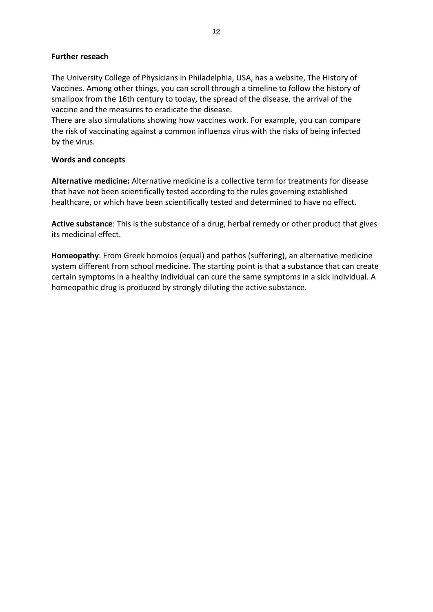#### **Further reseach**

The University College of Physicians in Philadelphia, USA, has a website, The History of Vaccines. Among other things, you can scroll through a timeline to follow the history of smallpox from the 16th century to today, the spread of the disease, the arrival of the vaccine and the measures to eradicate the disease.

There are also simulations showing how vaccines work. For example, you can compare the risk of vaccinating against a common influenza virus with the risks of being infected by the virus.

#### **Words and concepts**

**Alternative medicine:** Alternative medicine is a collective term for treatments for disease that have not been scientifically tested according to the rules governing established healthcare, or which have been scientifically tested and determined to have no effect.

**Active substance**: This is the substance of a drug, herbal remedy or other product that gives its medicinal effect.

**Homeopathy**: From Greek homoios (equal) and pathos (suffering), an alternative medicine system different from school medicine. The starting point is that a substance that can create certain symptoms in a healthy individual can cure the same symptoms in a sick individual. A homeopathic drug is produced by strongly diluting the active substance.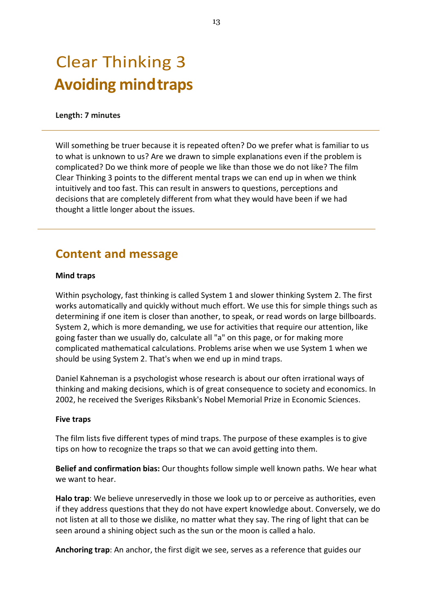# Clear Thinking 3 **Avoiding mind traps**

#### **Length: 7 minutes**

Will something be truer because it is repeated often? Do we prefer what is familiar to us to what is unknown to us? Are we drawn to simple explanations even if the problem is complicated? Do we think more of people we like than those we do not like? The film Clear Thinking 3 points to the different mental traps we can end up in when we think intuitively and too fast. This can result in answers to questions, perceptions and decisions that are completely different from what they would have been if we had thought a little longer about the issues.

### **Content and message**

#### **Mind traps**

Within psychology, fast thinking is called System 1 and slower thinking System 2. The first works automatically and quickly without much effort. We use this for simple things such as determining if one item is closer than another, to speak, or read words on large billboards. System 2, which is more demanding, we use for activities that require our attention, like going faster than we usually do, calculate all "a" on this page, or for making more complicated mathematical calculations. Problems arise when we use System 1 when we should be using System 2. That's when we end up in mind traps.

Daniel Kahneman is a psychologist whose research is about our often irrational ways of thinking and making decisions, which is of great consequence to society and economics. In 2002, he received the Sveriges Riksbank's Nobel Memorial Prize in Economic Sciences.

#### **Five traps**

The film lists five different types of mind traps. The purpose of these examples is to give tips on how to recognize the traps so that we can avoid getting into them.

**Belief and confirmation bias:** Our thoughts follow simple well known paths. We hear what we want to hear.

**Halo trap**: We believe unreservedly in those we look up to or perceive as authorities, even if they address questions that they do not have expert knowledge about. Conversely, we do not listen at all to those we dislike, no matter what they say. The ring of light that can be seen around a shining object such as the sun or the moon is called a halo.

**Anchoring trap**: An anchor, the first digit we see, serves as a reference that guides our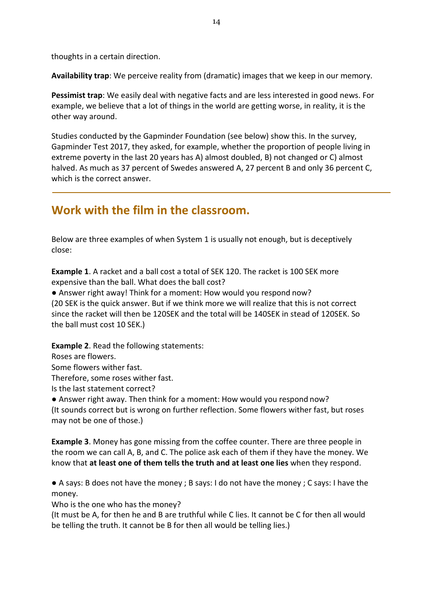thoughts in a certain direction.

**Availability trap**: We perceive reality from (dramatic) images that we keep in our memory.

**Pessimist trap**: We easily deal with negative facts and are less interested in good news. For example, we believe that a lot of things in the world are getting worse, in reality, it is the other way around.

Studies conducted by the Gapminder Foundation (see below) show this. In the survey, Gapminder Test 2017, they asked, for example, whether the proportion of people living in extreme poverty in the last 20 years has A) almost doubled, B) not changed or C) almost halved. As much as 37 percent of Swedes answered A, 27 percent B and only 36 percent C, which is the correct answer.

### **Work with the film in the classroom.**

Below are three examples of when System 1 is usually not enough, but is deceptively close:

**Example 1**. A racket and a ball cost a total of SEK 120. The racket is 100 SEK more expensive than the ball. What does the ball cost?

• Answer right away! Think for a moment: How would you respond now? (20 SEK is the quick answer. But if we think more we will realize that this is not correct since the racket will then be 120SEK and the total will be 140SEK in stead of 120SEK. So the ball must cost 10 SEK.)

**Example 2**. Read the following statements:

Roses are flowers.

Some flowers wither fast.

Therefore, some roses wither fast.

Is the last statement correct?

• Answer right away. Then think for a moment: How would you respond now? (It sounds correct but is wrong on further reflection. Some flowers wither fast, but roses may not be one of those.)

**Example 3**. Money has gone missing from the coffee counter. There are three people in the room we can call A, B, and C. The police ask each of them if they have the money. We know that **at least one of them tells the truth and at least one lies** when they respond.

● A says: B does not have the money ; B says: I do not have the money ; C says: I have the money.

Who is the one who has the money?

(It must be A, for then he and B are truthful while C lies. It cannot be C for then all would be telling the truth. It cannot be B for then all would be telling lies.)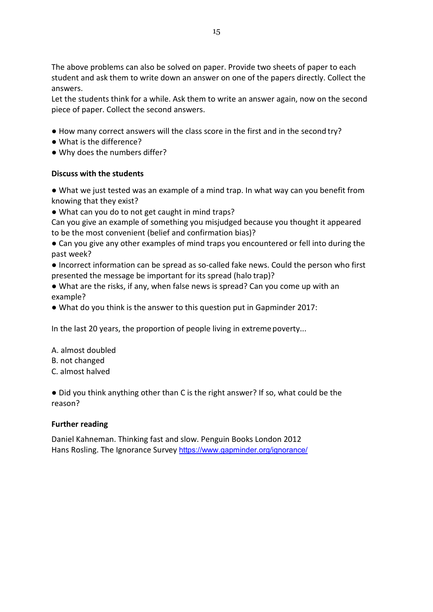The above problems can also be solved on paper. Provide two sheets of paper to each student and ask them to write down an answer on one of the papers directly. Collect the answers.

Let the students think for a while. Ask them to write an answer again, now on the second piece of paper. Collect the second answers.

- How many correct answers will the class score in the first and in the second try?
- What is the difference?
- Why does the numbers differ?

#### **Discuss with the students**

● What we just tested was an example of a mind trap. In what way can you benefit from knowing that they exist?

● What can you do to not get caught in mind traps?

Can you give an example of something you misjudged because you thought it appeared to be the most convenient (belief and confirmation bias)?

- Can you give any other examples of mind traps you encountered or fell into during the past week?
- Incorrect information can be spread as so-called fake news. Could the person who first presented the message be important for its spread (halo trap)?
- What are the risks, if any, when false news is spread? Can you come up with an example?
- What do you think is the answer to this question put in Gapminder 2017:

In the last 20 years, the proportion of people living in extreme poverty...

- A. almost doubled
- B. not changed
- C. almost halved

● Did you think anything other than C is the right answer? If so, what could be the reason?

#### **Further reading**

Daniel Kahneman. Thinking fast and slow. Penguin Books London 2012 Hans Rosling. The Ignorance Survey https://www.gapminder.org/ignorance/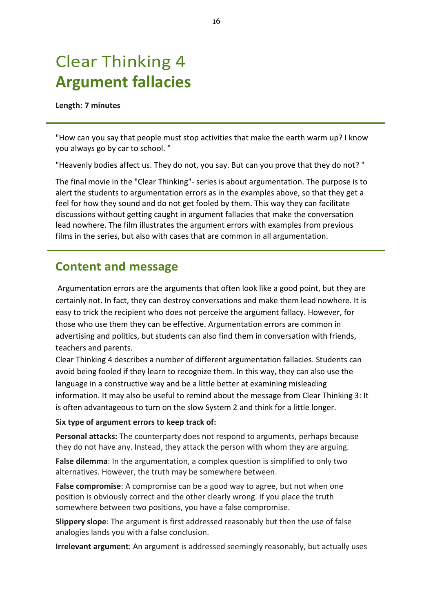# Clear Thinking 4 **Argument fallacies**

#### **Length: 7 minutes**

"How can you say that people must stop activities that make the earth warm up? I know you always go by car to school. "

"Heavenly bodies affect us. They do not, you say. But can you prove that they do not? "

The final movie in the "Clear Thinking"- series is about argumentation. The purpose is to alert the students to argumentation errors as in the examples above, so that they get a feel for how they sound and do not get fooled by them. This way they can facilitate discussions without getting caught in argument fallacies that make the conversation lead nowhere. The film illustrates the argument errors with examples from previous films in the series, but also with cases that are common in all argumentation.

### **Content and message**

Argumentation errors are the arguments that often look like a good point, but they are certainly not. In fact, they can destroy conversations and make them lead nowhere. It is easy to trick the recipient who does not perceive the argument fallacy. However, for those who use them they can be effective. Argumentation errors are common in advertising and politics, but students can also find them in conversation with friends, teachers and parents.

Clear Thinking 4 describes a number of different argumentation fallacies. Students can avoid being fooled if they learn to recognize them. In this way, they can also use the language in a constructive way and be a little better at examining misleading information. It may also be useful to remind about the message from Clear Thinking 3: It is often advantageous to turn on the slow System 2 and think for a little longer.

**Six type of argument errors to keep track of:**

**Personal attacks:** The counterparty does not respond to arguments, perhaps because they do not have any. Instead, they attack the person with whom they are arguing.

**False dilemma**: In the argumentation, a complex question is simplified to only two alternatives. However, the truth may be somewhere between.

**False compromise**: A compromise can be a good way to agree, but not when one position is obviously correct and the other clearly wrong. If you place the truth somewhere between two positions, you have a false compromise.

**Slippery slope**: The argument is first addressed reasonably but then the use of false analogies lands you with a false conclusion.

**Irrelevant argument**: An argument is addressed seemingly reasonably, but actually uses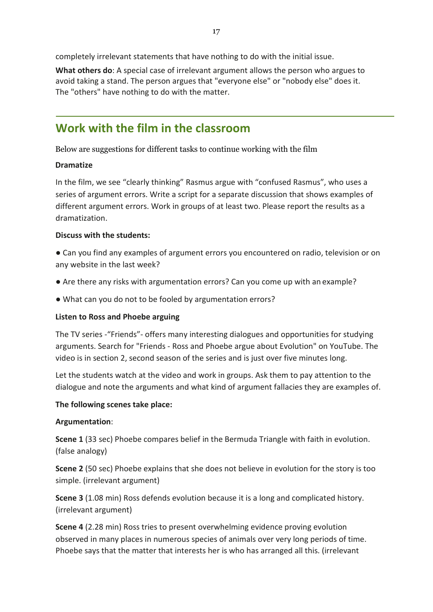**What others do**: A special case of irrelevant argument allows the person who argues to avoid taking a stand. The person argues that "everyone else" or "nobody else" does it. The "others" have nothing to do with the matter.

### **Work with the film in the classroom**

Below are suggestions for different tasks to continue working with the film

#### **Dramatize**

In the film, we see "clearly thinking" Rasmus argue with "confused Rasmus", who uses a series of argument errors. Write a script for a separate discussion that shows examples of different argument errors. Work in groups of at least two. Please report the results as a dramatization.

#### **Discuss with the students:**

● Can you find any examples of argument errors you encountered on radio, television or on any website in the last week?

- Are there any risks with argumentation errors? Can you come up with an example?
- What can you do not to be fooled by argumentation errors?

#### **Listen to Ross and Phoebe arguing**

The TV series -"Friends"- offers many interesting dialogues and opportunities for studying arguments. Search for "Friends - Ross and Phoebe argue about Evolution" on YouTube. The video is in section 2, second season of the series and is just over five minutes long.

Let the students watch at the video and work in groups. Ask them to pay attention to the dialogue and note the arguments and what kind of argument fallacies they are examples of.

#### **The following scenes take place:**

#### **Argumentation**:

**Scene 1** (33 sec) Phoebe compares belief in the Bermuda Triangle with faith in evolution. (false analogy)

**Scene 2** (50 sec) Phoebe explains that she does not believe in evolution for the story is too simple. (irrelevant argument)

**Scene 3** (1.08 min) Ross defends evolution because it is a long and complicated history. (irrelevant argument)

**Scene 4** (2.28 min) Ross tries to present overwhelming evidence proving evolution observed in many places in numerous species of animals over very long periods of time. Phoebe says that the matter that interests her is who has arranged all this. (irrelevant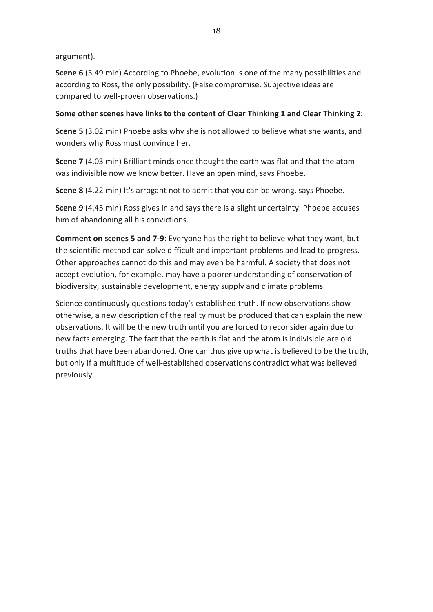#### argument).

**Scene 6** (3.49 min) According to Phoebe, evolution is one of the many possibilities and according to Ross, the only possibility. (False compromise. Subjective ideas are compared to well-proven observations.)

#### **Some other scenes have links to the content of Clear Thinking 1 and Clear Thinking 2:**

**Scene 5** (3.02 min) Phoebe asks why she is not allowed to believe what she wants, and wonders why Ross must convince her.

**Scene 7** (4.03 min) Brilliant minds once thought the earth was flat and that the atom was indivisible now we know better. Have an open mind, says Phoebe.

**Scene 8** (4.22 min) It's arrogant not to admit that you can be wrong, says Phoebe.

**Scene 9** (4.45 min) Ross gives in and says there is a slight uncertainty. Phoebe accuses him of abandoning all his convictions.

**Comment on scenes 5 and 7-9**: Everyone has the right to believe what they want, but the scientific method can solve difficult and important problems and lead to progress. Other approaches cannot do this and may even be harmful. A society that does not accept evolution, for example, may have a poorer understanding of conservation of biodiversity, sustainable development, energy supply and climate problems.

Science continuously questions today's established truth. If new observations show otherwise, a new description of the reality must be produced that can explain the new observations. It will be the new truth until you are forced to reconsider again due to new facts emerging. The fact that the earth is flat and the atom is indivisible are old truths that have been abandoned. One can thus give up what is believed to be the truth, but only if a multitude of well-established observations contradict what was believed previously.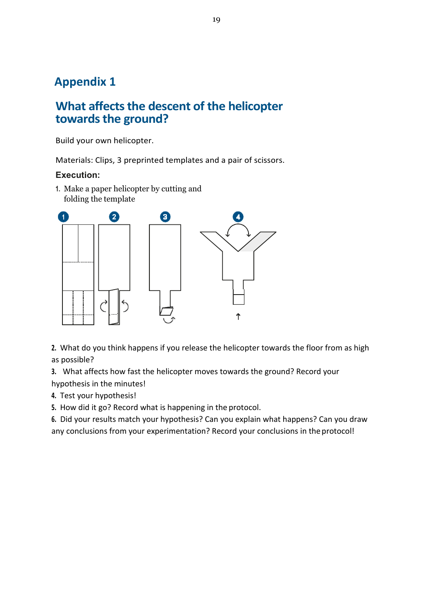# **Appendix 1**

# **What affects the descent of the helicopter towards the ground?**

Build your own helicopter.

Materials: Clips, 3 preprinted templates and a pair of scissors.

#### **Execution:**

**1.** Make a paper helicopter by cutting and folding the template



**2.** What do you think happens if you release the helicopter towards the floor from as high as possible?

**3.** What affects how fast the helicopter moves towards the ground? Record your hypothesis in the minutes!

**4.** Test your hypothesis!

**5.** How did it go? Record what is happening in the protocol.

**6.** Did your results match your hypothesis? Can you explain what happens? Can you draw any conclusions from your experimentation? Record your conclusions in the protocol!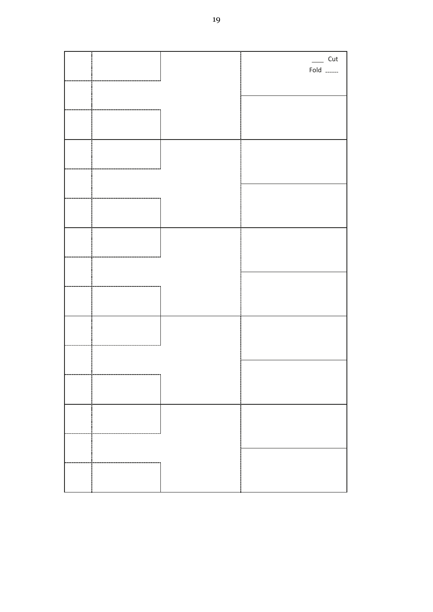|  | $\frac{1}{2}$ Cut<br>Fold _____ |
|--|---------------------------------|
|  |                                 |
|  |                                 |
|  |                                 |
|  |                                 |
|  |                                 |
|  |                                 |
|  |                                 |
|  |                                 |
|  |                                 |
|  |                                 |
|  |                                 |
|  |                                 |
|  |                                 |
|  |                                 |
|  |                                 |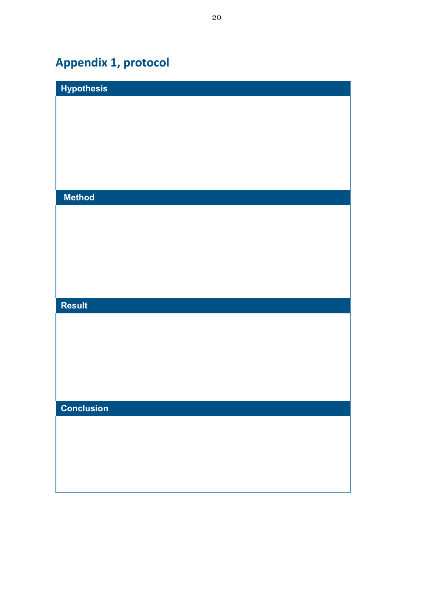# **Appendix 1, protocol**

| <b>Hypothesis</b> |  |
|-------------------|--|
|                   |  |
|                   |  |
|                   |  |
|                   |  |
|                   |  |
|                   |  |
| <b>Method</b>     |  |
|                   |  |
|                   |  |
|                   |  |
|                   |  |
|                   |  |
|                   |  |
|                   |  |
| <b>Result</b>     |  |
|                   |  |
|                   |  |
|                   |  |
|                   |  |
|                   |  |
|                   |  |
| <b>Conclusion</b> |  |
|                   |  |
|                   |  |
|                   |  |
|                   |  |
|                   |  |
|                   |  |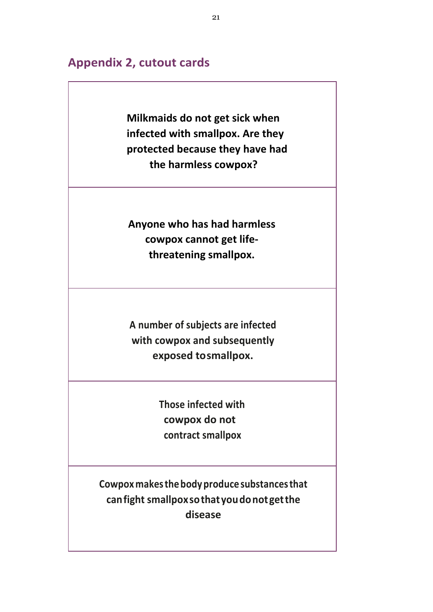### **Appendix 2, cutout cards**

**Milkmaids do not get sick when infected with smallpox. Are they protected because they have had the harmless cowpox?** 

**Anyone who has had harmless cowpox cannot get lifethreatening smallpox.** 

**A number of subjects are infected with cowpox and subsequently exposed to smallpox.**

> **Those infected with cowpox do not contract smallpox**

**Cowpox makes the body produce substances that can fight smallpox so that you do not get the disease**